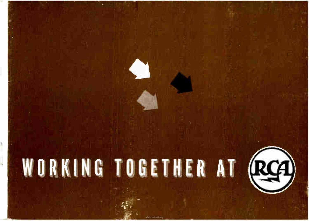# WORKING TOGETHER AT (RCA)

**World Radio Hist**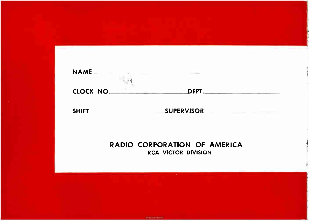

SHIFT SUPERVISOR

**World Radio History** 

RADIO CORPORATION OF AMERICA RCA VICTOR DIVISION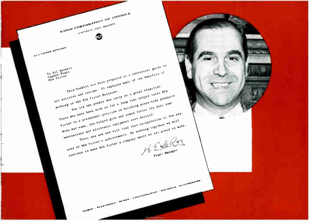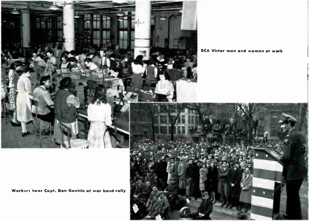

**RCA Victor men and women at work** 

Workers hear Capt. Don Gentile at war bond rally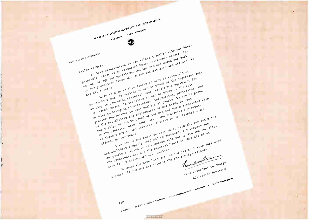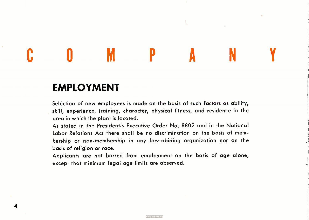### EMPLOYMENT

4

Selection of new employees is made on the basis of such factors as ability, skill, experience, training, character, physical fitness, and residence in the area in which the plant is located.

COMPANY

As stated in the President's Executive Order No. 8802 and in the National Labor Relations Act there shall be no discrimination on the basis of membership or non- membership in any law-abiding organization nor on the basis of religion or race.

Applicants are not barred from employment on the basis of age alone, except that minimum legal age limits are observed.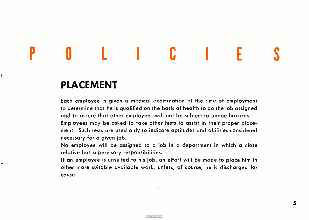# POLICIES

### PLACEMENT

ł

 $\ddot{\phantom{0}}$ 

Each employee is given a medical examination at the time of employment to determine that he is qualified on the basis of health to do the job assigned and to assure that other employees will not be subject to undue hazards. Employees may be asked to take other tests to assist in their proper placement. Such tests are used only to indicate aptitudes and abilities considered necessary for a given job.

No employee will be assigned to a job in a department in which a close relative has supervisory responsibilities.

If an employee is unsuited to his job, an effort will be made to place him in other more suitable available work, unless, of course, he is discharged for cause.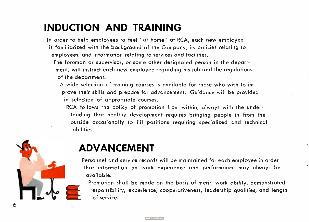### INDUCTION AND TRAINING

In order to help employees to feel "at home" at RCA, each new employee is familiarized with the background of the Company, its policies relating to employees, and information relating to services and facilities.

The foreman or supervisor, or some other designated person in the department, will instruct each new employez regarding his job and the regulations of the department.

**World Radio Histor** 

A wide selection of training courses is available for those who wish to improve their skills and prepare for advancement. Guidance will be provided in selection of appropriate courses.

RCA follows the policy of promotion from within, always with the understanding that healthy development requires bringing people in from the outside occasionally to fill positions requiring specialized and technical abilities.



### ADVANCEMENT

Personnel and service records will be maintained for each employee in order that information on work experience and performance may always be available.

Promotion shall be made on the basis of merit, work ability, demonstrated responsibility, experience, cooperativeness, leadership qualities, and length of service.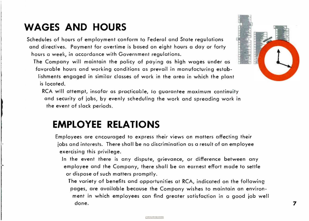### WAGES AND HOURS

Schedules of hours of employment conform to Federal and State regulations and directives. Payment for overtime is based on eight hours a day or forty hours a week, in accordance with Government regulations.

The Company will maintain the policy of paying as high wages under as favorable hours and working conditions as prevail in manufacturing establishments engaged in similar classes of work in the area in which the plant is located.

RCA will attempt, insofar as practicable, io guarantee maximum continuity and security of jobs, by evenly scheduling the work and spreading work in the event of slack periods.

### EMPLOYEE RELATIONS

Employees are encouraged to express their views on matters affecting their jobs and interests. There shall be no discrimination as a result of an employee exercising this privilege.

In the event there is any dispute, grievance, or difference between any employee and the Company, there shall be an earnest effort made to settle or dispose of such matters promptly.

The variety of benefits and opportunities at RCA, indicated on the following pages, are available because the Company wishes to maintain an environment in which employees can find greater satisfaction in a good job well done.  $\boldsymbol{7}$ 

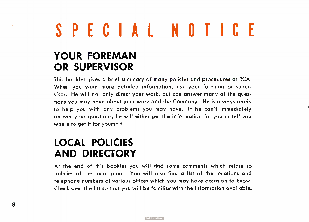# SPECIAL NOTICE

### YOUR FOREMAN OR SUPERVISOR

This booklet gives a brief summary of many policies and procedures at RCA When you want more detailed information, ask your foreman or supervisor. He will not only direct your work, but can answer many of the questions you may have about your work and the Company. He is always ready to help you with any problems you may have. If he can't immediately answer your questions, he will either get the information for you or tell you where to get it for yourself.

i i

### LOCAL POLICIES AND DIRECTORY

At the end of this booklet you will find some comments which relate to policies of the local plant. You will also find a list of the locations and telephone numbers of various offices which you may have occasion to know. Check over the list so that you will be familiar with the information available.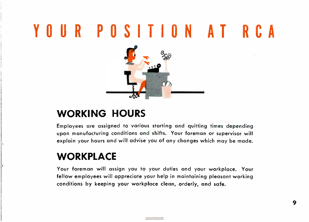# YOUR POSITION AT RCA



### WORKING HOURS

Employees are assigned to various starting and quitting times depending upon manufacturing conditions and shifts. Your foreman or supervisor will explain your hours and will advise you of any changes which may be made.

### **WORKPLACE**

Your foreman will assign you to your duties and your workplace. Your fellow employees will appreciate your help in maintaining pleasant working conditions by keeping your workplace clean, orderly, and safe.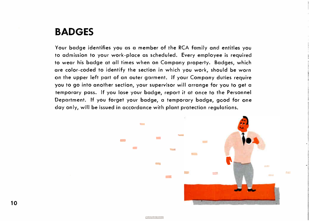### BADGES

Your badge identifies you as a member of the RCA family and entitles you to admission to your work- place as scheduled. Every employee is required to wear his badge at all times when on Company property. Badges, which are color- coded to identify the section in which you work, should be worn on the upper left part of an outer garment. If your Company duties require you to go into another section, your supervisor will arrange for you to get a temporary pass. If you lose your badge, report it at once to the Personnel Department. If you forget your badge, a temporary badge, good for one day only, will be issued in accordance with plant protection regulations.

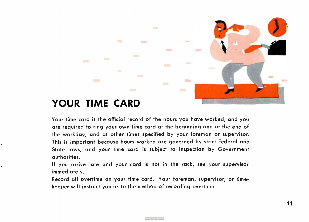### YOUR TIME CARD

**COL** 

 $\blacksquare$ 

 $\overline{a}$ 

**COLLEGE** 

Your time card is the official record of the hours you have worked, and you are required to ring your own time card at the beginning and at the end of the workday, and at other times specified by your foreman or supervisor. This is important because hours worked are governed by strict Federal and State laws, and your time card is subject to inspection by Government authorities.

**COMME** 

**College** 

**Contract** 

**COL** 

**COLOR** 

**Common** 

**COL** 

 $\mathcal{L}(\mathcal{A})$ 

**COLLEGE** 

If you arrive late and your card is not in the rack, see your supervisor immediately.

Record all overtime on your time card. Your foreman, supervisor, or timekeeper will instruct you as to the method of recording overtime.

**World Radio History** 

**et filmen** 

**COL** 

**College**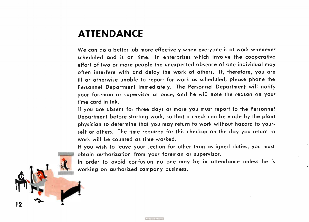### ATTENDANCE

We can do a better job more effectively when everyone is at work whenever scheduled and is on time. In enterprises which involve the cooperative effort of two or more people the unexpected absence of one individual may often interfere with and delay the work of others. If, therefore, you are ill or otherwise unable to report for work as scheduled, please phone the Personnel Department immediately. The Personnel Department will notify your foreman or supervisor at once, and he will note the reason on your time card in ink.

If you are absent for three days or more you must report to the Personnel Department before starting work, so that a check can be made by the plant physician to determine that you may return to work without hazard to yourself or others. The time required for this checkup on the day you return to work will be counted as time worked.

If you wish to leave your section for other than assigned duties, you must obtain authorization from your foreman or supervisor.

In order to avoid confusion no one may be in attendance unless he is working on authorized company business.

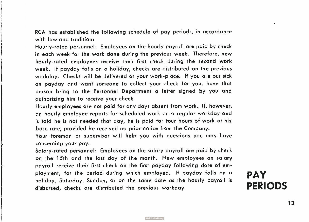RCA has established the following schedule of pay periods, in accordance with law and tradition:

Hourly- rated personnel: Employees on the hourly payroll are paid by check in each week for the work done during the previous week. Therefore, new hourly- rated employees receive their first check during the second work week. If payday falls on a holiday, checks are distributed on the previous workday. Checks will be delivered at your work- place. If you are out sick on payday and want someone to collect your check for you, have that person bring to the Personnel Department a letter signed by you and authorizing him to receive your check.

Hourly employees are not paid for any days absent from work. If, however, an hourly employee reports for scheduled work or: a regular workday and is told he is not needed that day, he is paid for four hours of work at his base rate, provided he received no prior notice from the Company.

Your foreman or supervisor will help you with questions you may have concerning your pay.

Salary-rated personnel: Employees on the salary payroll are paid by check on the 15th and the last day of the month. New employees on salary payroll receive their first check on the first payday following date of employment, for the period during which employed. If payday falls on a holiday, Saturday, Sunday, or on the same date as the hourly payroll is disbursed, checks are distributed the previous workday.

PAY PERIODS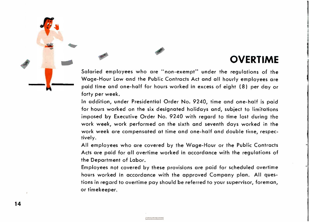### OVERTIME

Salaried employees who are " non-exempt" under the regulations of the Wage- Hour Law and the Public Contracts Act and all hourly employees are paid time and one-half for hours worked in excess of eight ( 8) per day or forty per week.

In addition, under Presidential Order No. 9240, time and one-half is paid for hours worked on the six designated holidays and, subject to limitations imposed by Executive Order No. 9240 with regard to time lost during the work week, work performed on the sixth and seventh days worked in the work week are compensated at time and one-half and double time, respectively.

All employees who are covered by the Wage- Hour or the Public Contracts Acts are paid for all overtime worked in accordance with the regulations of the Department of Labor.

Employees not covered by these provisions are paid for scheduled overtime hours worked in accordance with the approved Company plan. All questions in regard to overtime pay should be referred to your supervisor, foreman, or timekeeper.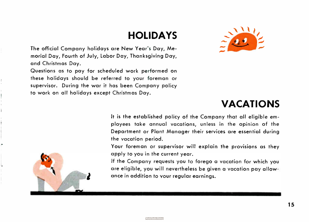### HOLIDAYS

The official Company holidays are New Year's Day, Memorial Day, Fourth of July, Labor Day, Thanksgiving Day, and Christmas Day.

Questions as to pay for scheduled work performed on these holidays should be referred to your foreman or supervisor. During the war it has been Company policy to work on all holidays except Christmas Day.



### VACATIONS

It is the established policy of the Company that all eligible employees take annual vacations, unless in the opinion of the Department or Plant Manager their services are essential during the vacation period.

Your foreman or supervisor will explain the provisions as they apply to you in the current year.

If the Company requests you to forego a vacation for which you are eligible, you will nevertheless be given a vacation pay allowance in addition to your regular earnings.

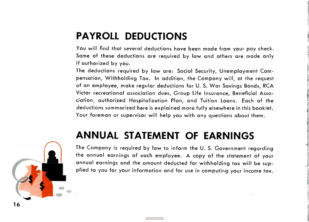### PAYROLL DEDUCTIONS

You will find that several deductions have been made from your pay check. Some of these deductions are required by law and others are made only if authorized by you.

The deductions required by law are: Social Security, Unemployment Compensation, Withholding Tax. In addition, the Company will, at the request of an employee, make regular deductions for U. S. War Savings Bonds, RCA Victor recreational association dues, Group Life Insurance, Beneficial Association, authorized Hospitalization Plan, and Tuition Loans. Each of the deductions summarized here is explained more fully elsewhere in this booklet. Your foreman or supervisor will help you with any questions about them.

### ANNUAL STATEMENT OF EARNINGS



The Company is required by law to inform the U. S. Government regarding the annual earnings of each employee. A copy of the statement of your annual earnings and the amount deducted for withholding tax will be supplied to you for your information and for use in computing your income tax.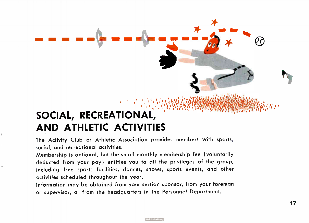### , ; • :; .'e.V.1 SOCIAL, RECREATIONAL, AND ATHLETIC ACTIVITIES

mi ffl MI Ill

The Activity Club or Athletic Association provides members with sports, social, and recreational activities.

Membership is optional, but the small monthly membership fee ( voluntarily deducted from your pay) entitles you to all the privileges of the group, including free sports facilities, dances, shows, sports events, and other activities scheduled throughout the year.

Information may be obtained from your section sponsor, from your foreman or supervisor, or from the headquarters in the Personnel Department.

tt and the second second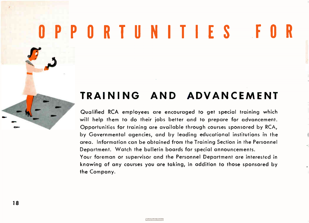# OPPORTUNITIES FOR

### TRAINING AND ADVANCEMENT

Qualified RCA employees are encouraged to get special training which will help them to do their jobs better and to prepare for advancement. Opportunities for training are available through courses sponsored by RCA, by Governmental agencies, and by leading educational institutions in the area. Information can be obtained from the Training Section in the Personnel Department. Watch the bulletin boards for special announcements. Your foreman or supervisor and the Personnel Department are interested in knowing of any courses you are taking, in addition to those sponsored by

the Company.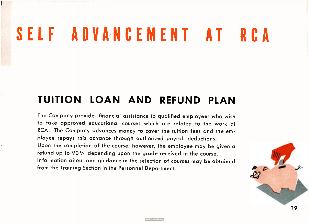# SELF ADVANCEMENT AT RCA

### TUITION LOAN AND REFUND PLAN

The Company provides financial assistance to qualified employees who wish to take approved educational courses which are related to the work at RCA. The Company advances money to cover the tuition fees and the employee repays this advance through authorized payroll deductions. Upon the completion of the course, however, the employee may be given a refund up to 90% depending upon the grade received in the course. Information about and guidance in the selection of courses may be obtained from the Training Section in the Personnel Department.

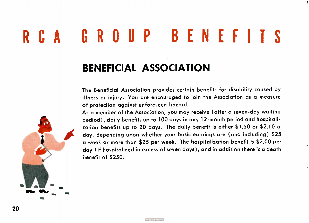# RCA GROUP BENEFITS

### BENEFICIAL ASSOCIATION

The Beneficial Association provides certain benefits for disability caused by illness or injury. You are encouraged to join the Association as a measure of protection against unforeseen hazard.

As a member of the Association, you may receive ( after a seven-day waiting pediod), daily benefits up to 100 days in any 12- month period and hospitalization benefits up to 20 days. The daily benefit is either \$1.50 or \$2.10 a day, depending upon whether your basic earnings are ( and including) \$ 25 a week or more than \$25 per week. The hospitalization benefit is \$2.00 per day ( if hospitalized in excess of seven days), and in addition there is a death benefit of \$ 250.



20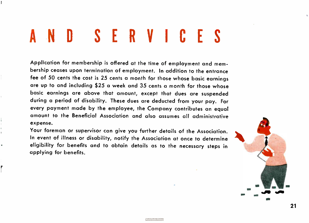# SERVICES

Application for membership is offered at the time of employment and membership ceases upon termination of employment. In addition to the entrance fee of 50 cents the cost is 25 cents a month for those whose basic earnings are up to and including \$ 25 a week and 35 cents a month for those whose basic earnings are above that amount, except that dues are suspended during a period of disability. These dues are deducted from your pay. For every payment made by the employee, the Company contributes an equal amount to the Beneficial Association and also assumes all administrative expense.

Your foreman or supervisor can give you further details of the Association. In event of illness or disability, notify the Association at once to determine eligibility for benefits and to obtain details as to the necessary steps in applying for benefits.

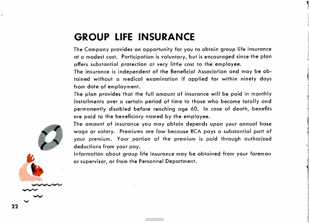### GROUP LIFE INSURANCE

The Company provides an opportunity for you to obtain group life insurance at a modest cost. Participation is voluntary, but is encouraged since the plan offers substantial protection at very little cost to the employee.

The insurance is independent of the Beneficial Association and may be obtained without a medical examination if applied for within ninety days from date of employment.

The plan provides that the full amount of insurance will be paid in monthly installments over a certain period of time to those who become totally and permanently disabled before reaching age 60. In case of death, benefits are paid to the beneficiary named by the employee.

are paid to the ben<br>The amount of insu<br>wage or salary. Pr<br>your premium. You<br>deductions from you<br>Information about g The amount of insurance you may obtain depends upon your annual base wage or salary. Premiums are low because RCA pays a substantial part of your premium. Your portion of the premium is paid through authorized deductions from your pay.

Information about group life insurance may be obtained from your foreman or supervisor, or from the Personnel Department.

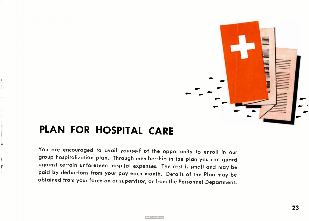

### PLAN FOR HOSPITAL CARE

You are encouraged to avail yourself of the opportunity to enroll in our group hospitalization plan. Through membership in the plan you can guard against certain unforeseen hospital expenses. The cost is small and may be paid by deductions from your pay each month. Details of the Plan may be obtained from your foreman or supervisor, or from the Personnel Department.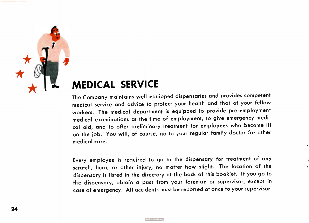

### MEDICAL SERVICE

The Company maintains well-equipped dispensaries and provides competent medical service and advice to protect your health and that of your fellow workers. The medical department is equipped to provide pre-employment medical examinations at the time of employment, to give emergency medical aid, and to offer preliminary treatment for employees who become ill on the job. You will, of course, go to your regular family doctor for other medical care.

Every employee is required to go to the dispensary for treatment of any scratch, burn, or other injury, no matter how slight. The location of the dispensary is listed in the directory at the back of this booklet. If you go to the dispensary, obtain a pass from your foreman or supervisor, except in case of emergency. All accidents must be reported at once to your supervisor.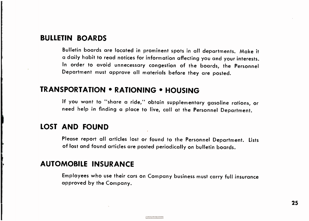### BULLETIN BOARDS

Bulletin boards are located in prominent spots in all departments. Make it a daily habit to read notices for information affecting you and your interests. In order to avoid unnecessary congestion of the boards, the Personnel Department must approve all materials before they are posted.

### TRANSPORTATION • RATIONING • HOUSING

If you want to "share a ride," obtain supplementary gasoline rations, or need help in finding a place to live, call at the Personnel Department.

### LOST AND FOUND

Please report all articles lost or found to the Personnel Department. Lists of lost and found articles are posted periodically on bulletin boards.

### AUTOMOBILE INSURANCE

Employees who use their cars on Company business must carry full insurance approved by the Company.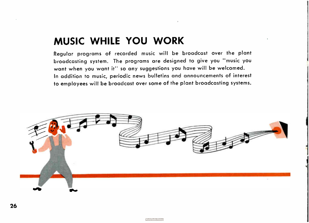### MUSIC WHILE YOU WORK

Regular programs of recorded music will be broadcast over the plant broadcasting system. The programs are designed to give you " music you want when you want it" so any suggestions you have will be welcomed. In addition to music, periodic news bulletins and announcements of interest to employees will be broadcast over some of the plant broadcasting systems.



**World Radio Histo**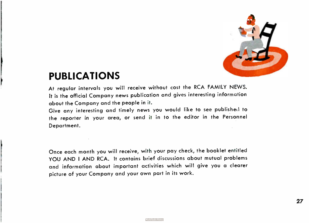

27

### PUBLICATIONS

At regular intervals you will receive without cost the RCA FAMILY NEWS. It is the official Company news publication and gives interesting information about the Company and the people in it.

Give any interesting and timely news you would like to see published to the reporter in your area, or send it in to the editor in the Personnel Department.

Once each month you will receive, with your pay check, the booklet entitled YOU AND I AND RCA. It contains brief discussions about mutual problems and information about important activities which will give you a clearer picture of your Company and your own part in its work.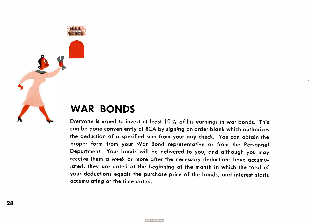### WAR BONDS

WAR **BONDS** 

Everyone is urged to invest at least 10% of his earnings in war bonds. This can be done conveniently at RCA by signing an order blank which authorizes the deduction of a specified sum from your pay check. You can obtain the proper form from your War Bond representative or from the Personnel Department. Your bonds will be delivered to you, and although you may receive them a week or more after the necessary deductions have accumulated, they are dated at the beginning of the month in which the total of your deductions equals the purchase price of the bonds, and interest starts accumulating at the time dated.

**World Radio History**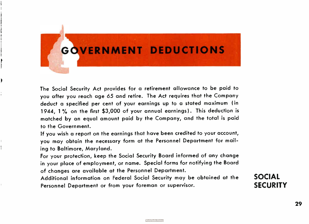## GOVERNMENT DEDUCTIONS

The Social Security Act provides for a retirement allowance to be paid to you after you reach age 65 and retire. The Act requires that the Company deduct a specified per cent of your earnings up to a stated maximum ( in 1944, 1% on the first \$3,000 of your annual earnings). This deduction is matched by an equal amount paid by the Company, and the total is paid to the Government.

If you wish a report on the earnings that have been credited to your account, you may obtain the necessary form at the Personnel Department for mailing to Baltimore, Maryland.

For your protection, keep the Social Security Board informed of any change in your place of employment, or name. Special forms for notifying the Board of changes are available at the Personnel Department.

Additional information on Federal Social Security may be obtained at the Personnel Department or from your foreman or supervisor.

SOCIAL **SECURITY**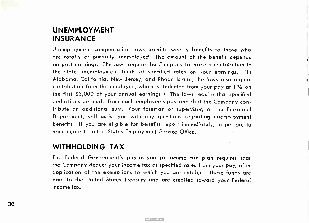### UNEMPLOYMENT INSURANCE

Unemployment compensation laws provide weekly benefits to those who are totally or partially unemployed. The amount of the benefit depends on past earnings. The laws require the Company to make a contribution to the state unemployment funds at specified rates on your earnings. ( In Alabama, California, New Jersey, and Rhode Island, the laws also require contribution from the employee, which is deducted from your pay at 1% on the first \$ 3,000 of your annual earnings.) The laws require that specified deductions be made from each employee's pay and that the Company contribute an additional sum. Your foreman or supervisor, or the Personnel Department, will assist you with any questions regarding unemployment benefits. If you are eligible for benefits report immediately, in person, to your nearest United States Employment Service Office.

### WITHHOLDING TAX

The Federal Government's pay-as-you-go income tax plan requires that the Company deduct your income tax at specified rates from your pay, after application of the exemptions to which you are entitled. These funds are paid to the United States Treasury and are credited toward your Federal income tax.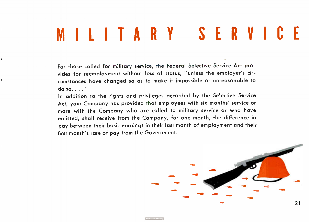# MILITARY SERVICE

For those called for military service, the Federal Selective Service Act provides for reemployment without loss of status, " unless the employer's circumstances have changed so as to make it impossible or unreasonable to do so. I

ł

ŕ

In addition to the rights and privileges accorded by the Selective Service Act, your Company has provided that employees with six months' service or more with the Company who are called to military service or who have enlisted, shall receive from the Company, for one month, the difference in pay between their basic earnings in their last month of employment and their first month's rate of pay from the Government.

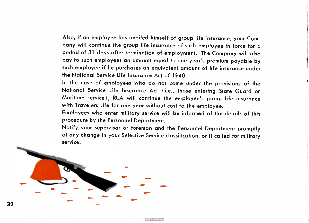Also, if an employee has availed himself of group life insurance, your Company will continue the group life insurance of such employee in force for a period of 31 days after termination of employment. The Company will also pay to such employees an amount equal to one year's premium payable by such employee if he purchases an equivalent amount of life insurance under the National Service Life Insurance Act of 1940.

In the case of employees who do not come under the provisions of the National Service Life Insurance Act ( i.e., those entering State Guard or Maritime service), RCA will continue the employee's group life insurance with Travelers Life for one year without cost to the employee.

Employees who enter military service will be informed of the details of this procedure by the Personnel Department.

Notify your supervisor or foreman and the Personnel Department promptly of any change in your Selective Service classification, or if called for military service.

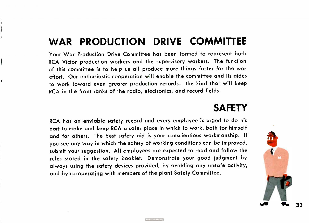### WAR PRODUCTION DRIVE COMMITTEE

Your War Production Drive Committee has been formed to represent both RCA Victor production workers and the supervisory workers. The function of this committee is to help us all produce more things faster for the war effort. Our enthusiastic cooperation will enable the committee and its aides to work toward even greater production records—the kind that will keep RCA in the front ranks of the radio, electronics, and record fields.

P

### **SAFETY**

RCA has an enviable safety record and every employee is urged to do his part to make and keep RCA a safer place in which to work, both for himself and for others. The best safety aid is your conscientious workmanship. If you see any way in which the safety of working conditions can be improved, submit your suggestion. All employees are expected to read and follow the rules stated in the safety booklet. Demonstrate your good judgment by always using the safety devices provided, by avoiding any unsafe activity, and by co-operating with members of the plant Safety Committee.



าา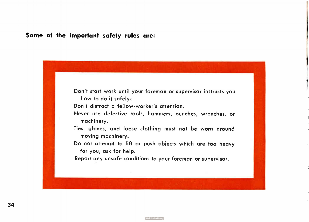### Some of the important safety rules are:



Don't distract a fellow- worker's attention.

- Never use defective tools, hammers, punches, wrenches, or machinery.
- Ties, gloves, and loose clothing must not be worn around moving machinery.
- Do not attempt to lift or push objects which are too heavy for you; ask for help.

Report any unsafe conditions to your foreman or supervisor.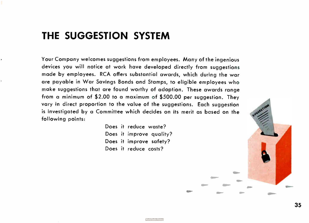### THE SUGGESTION SYSTEM

Your Company welcomes suggestions from employees. Many of the ingenious devices you will notice at work have developed directly from suggestions made by employees. RCA offers substantial awards, which during the war are payable in War Savings Bonds and Stamps, to eligible employees who make suggestions that are found worthy of adoption. These awards range from a minimum of \$2.00 to a maximum of \$500.00 per suggestion. They vary in direct proportion to the value of the suggestions. Each suggestion is investigated by a Committee which decides on its merit as based on the following points:

> Does it reduce waste? Does it improve quality? Does it improve safety? Does it reduce costs?

> > **World Radio Histor**

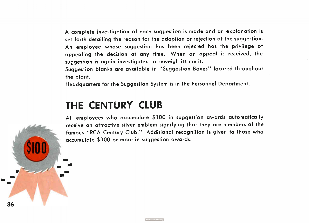A complete investigation of each suggestion is made and an explanation is set forth detailing the reason for the adoption or rejection of the suggestion. An employee whose suggestion has been rejected has the privilege of appealing the decision at any time. When an appeal is received, the suggestion is again investigated to reweigh its merit.

Suggestion blanks are available in " Suggestion Boxes" located throughout the plant.

Headquarters for the Suggestion System is in the Personnel Department.

### THE CENTURY CLUB

36

All employees who accumulate \$ 100 in suggestion awards automatically receive an attractive silver emblem signifying that they are members of the famous " RCA Century Club." Additional recognition is given to those who accumulate \$300 or more in suggestion awards.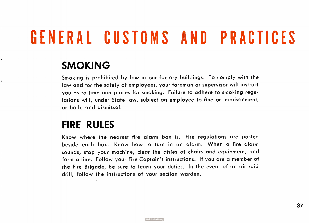# GENERAL CUSTOMS AND PRACTICES

### SMOKING

k

Smoking is prohibited by law in our factory buildings. To comply with the law and for the safety of employees, your foreman or supervisor will instruct you as to time and places for smoking. Failure to adhere to smoking regulations will, under State law, subject an employee to fine or imprisonment, or both, and dismissal.

### FIRE RULES

Know where the nearest fire alarm box is. Fire regulations are posted beside each box. Know how to turn in an alarm. When a fire alarm sounds, stop your machine, clear the aisles of chairs and equipment, and form a line. Follow your Fire Captain's instructions. If you are a member of the Fire Brigade, be sure to learn your duties. In the event of an air raid drill, follow the instructions of your section warden.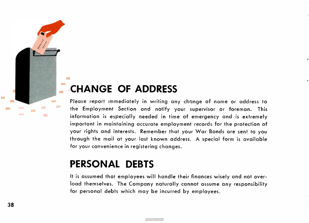### CHANGE OF ADDRESS

Please report immediately in writing any change of name or address to the Employment Section and notify your supervisor or foreman. This information is especially needed in time of emergency and is extremely important in maintaining accurate employment records for the protection of your rights and interests. Remember that your War Bonds are sent to you through the mail at your last known address. A special form is available for your convenience in registering changes.

### PERSONAL DEBTS

It is assumed that employees will handle their finances wisely and not overload themselves. The Company naturally cannot assume any responsibility for personal debts which may be incurred by employees.

**College** 

**Contract**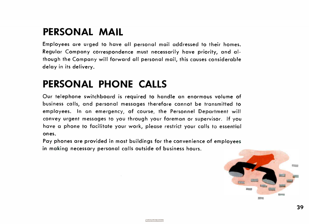### PERSONAL MAIL

Employees are urged to have all personal mail addressed to their homes. Regular Company correspondence must necessarily have priority, and although the Company will forward all personal mail, this causes considerable delay in its delivery.

### PERSONAL PHONE CALLS

Our telephone switchboard is required to handle an enormous volume of business calls, and personal messages therefore cannot be transmitted to employees. In an emergency, of course, the Personnel Department will convey urgent messages to you through your foreman or supervisor. If you have a phone to facilitate your work, please restrict your calls to essential ones.

Pay phones are provided in most buildings for the convenience of employees in making necessary personal calls outside of business hours.

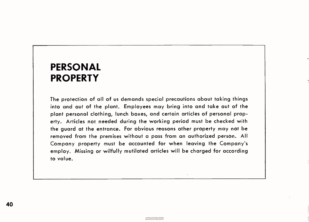### PERSONAL PROPERTY

The protection of all of us demands special precautions about taking things into and out of the plant. Employees may bring into and take out of the plant personal clothing, lunch boxes, and certain articles of personal property. Articles not needed during the working period must be checked with the guard at the entrance. For obvious reasons other property may not be removed from the premises without a pass from an authorized person. All Company property must be accounted for when leaving the Company's employ. Missing or wilfully mutilated articles will be charged for according to value.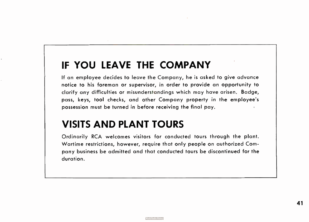### IF YOU LEAVE THE COMPANY

If an employee decides to leave the Company, he is asked to give advance notice to his foreman or supervisor, in order to provide an opportunity to clarify any difficulties or misunderstandings which may have arisen. Badge, pass, keys, tool checks, and other Company property in the employee's possession must be turned in before receiving the final pay.

### VISITS AND PLANT TOURS

Ordinarily RCA welcomes visitors for conducted tours through the plant. Wartime restrictions, however, require that only people on authorized Company business be admitted and that conducted tours be discontinued for the duration.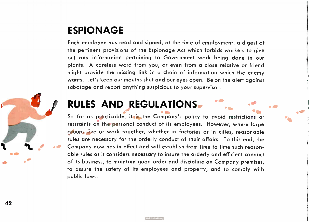### ESPIONAGE

42

Each employee has read and signed, at the time of employment, a digest of the pertinent provisions of the Espionage Act which forbids workers to give out any information pertaining to Government work being done in our plants. A careless word from you, or even from a close relative or friend might provide the missing link in a chain of information which the enemy wants. Let's keep our mouths shut and our eyes open. Be on the alert against sabotage and report anything suspicious to your supervisor.

### RULES AND REGULATIONS.

So far as practicable, it is the Company's policy to avoid restrictions or restraints on the personal conduct of its employees. However, where large groups live or work together, whether in factories or in cities, reasonable rules are necessary for the orderly conduct of their affairs. To this end, the Company now has in effect and will establish from time to time such reasonable rules as it considers necessary to insure the orderly and efficient conduct of its business, to maintain good order and discipline on Company premises, to assure the safety of its employees and property, and to comply with public laws.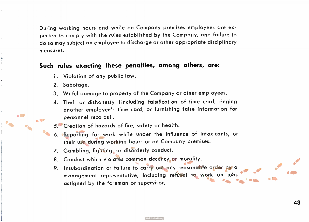During working hours and while on Company premises employees are expected to comply with the rules established by the Company, and failure to do so may subject an employee to discharge or other appropriate disciplinary measures.

### Such rules exacting these penalties, among others, are:

- 1. Violation of any public law.
- 2. Sabotage.
- 3. Wilful damage to property of the Company or other employees.
- 4. Theft or dishonesty ( including falsification of time card, ringing another employee's time card, or furnishing false information for personnel records).

5. Creation of hazards of fire, safety or health.

- 6. Reporting for work while under the influence of intoxicants, or their use during working hours or on Company premises.
- 7. Gambling, fighting, or disorderly conduct.
- 8. Conduct which violates common decency or morality.
- 9. Insubordination or failure to carry out any reasonable order by a management representative, including refusal to work on jobs assigned by the foreman or supervisor.

0

• gib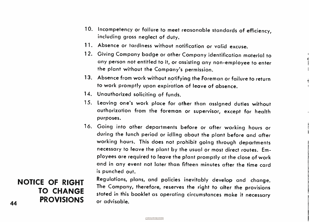- 10. Incompetency or failure to meet reasonable standards of efficiency, including gross neglect of duty.
- 11. Absence or tardiness without notification or valid excuse.
- 12. Giving Company badge or other Company identification material to any person not entitled to it, or assisting any non-employee to enter the plant without the Company's permission.
- 13. Absence from work without notifying the Foreman or failure to return to work promptly upon expiration of leave of absence.
- 14. Unauthorized soliciting of funds.
- 15. Leaving one's work place for other than assigned duties without authorization from the foreman or supervisor, except for health purposes.
- 16. Going into other departments before or after working hours or during the lunch period or idling about the plant before and after working hours. This does not prohibit going through departments necessary to leave the plant by the usual or most direct routes. Employees are required to leave the plant promptly at the close of work and in any event not later than fifteen minutes after the time card is punched out.

Regulations, plans, and policies inevitably develop and change. The Company, therefore, reserves the right to alter the provisions stated in this booklet as operating circumstances make it necessary or advisable.

44 NOTICE OF RIGHT TO CHANGE PROVISIONS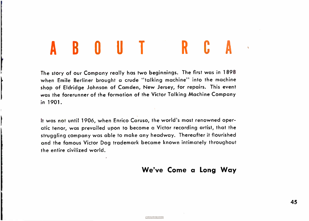# ABOUT RCA

The story of our Company really has two beginnings. The first was in 1898 when Emile Berliner brought a crude "talking machine" into the machine shop of Eldridge Johnson of Camden, New Jersey, for repairs. This event was the forerunner of the formation of the Victor Talking Machine Company in 1901.

It was not until 1906, when Enrico Caruso, the world's most renowned operatic tenor, was prevailed upon to become a Victor recording artist, that the struggling company was able to make any headway. Thereafter it flourished and the famous Victor Dog trademark became known intimately throughout the entire civilized world.

**World Radio Histor** 

### We've Come a Long Way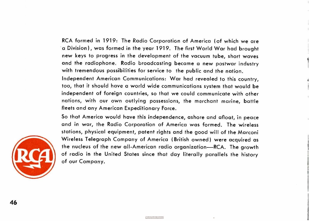RCA formed in 1919: The Radio Corporation of America (of which we are a Division), was formed in the year 1919. The first World War had brought new keys to progress in the development of the vacuum tube, short waves and the radiophone. Radio broadcasting became a new postwar industry with tremendous possibilities for service to the public and the nation.

Independent American Communications: War had revealed to this country, too, that it should have a world wide communications system that would be independent of foreign countries, so that we could communicate with other nations, with our own outlying possessions, the merchant marine, battle fleets and any American Expeditionary Force.

So that America would have this independence, ashore and afloat, in peace and in war, the Radio Corporation of America was formed. The wireless stations, physical equipment, patent rights and the good will of the Marconi Wireless Telegraph Company of America ( British owned) were acquired as the nucleus of the new all-American radio organization—RCA. The growth of radio in the United States since that day literally parallels the history of our Company.



46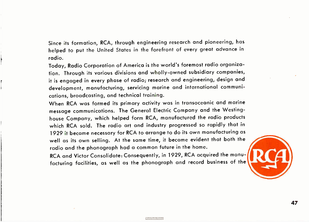Since its formation, RCA, through engineering research and pioneering, has helped to put the United States in the forefront of every great advance in radio.

Today, Radio Corporation of America is the world's foremost radio organization. Through its various divisions and wholly- owned subsidiary companies, it is engaged in every phase of radio; research and engineering, design and development, manufacturing, servicing marine and international communications, broadcasting, and technical training.

r

When RCA was formed its primary activity was in transoceanic and marine message communications. The General Electric Company and the Westinghouse Company, which helped form RCA, manufactured the radio products which RCA sold. The radio art and industry progressed so rapidly that in 1929 it became necessary for RCA to arrange to do its own manufacturing as well as its own selling. At the same time, it became evident that both the radio and the phonograph had a common future in the home.

RCA and Victor Consolidate: Consequently, in 1929, RCA acquired the manufacturing facilities, as well as the phonograph and record business of the



47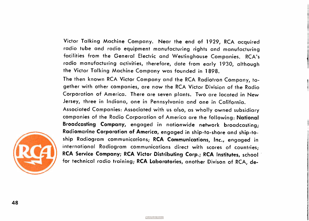Victor Talking Machine Company. Near the end of 1929, RCA acquired radio tube and radio equipment manufacturing rights and manufacturing facilities from the General Electric and Westinghouse Companies. RCA's radio manufacturing activities, therefore, date from early 1930, although the Victor Talking Machine Company was founded in 1898.

The then known RCA Victor Company and the RCA Radiotron Company, together with other companies, are now the RCA Victor Division of the Radio Corporation of America. There are seven plants. Two are located in New Jersey, three in Indiana, one in Pennsylvania and one in California.

Associated Companies: Associated with us also, as wholly owned subsidiary companies of the Radio Corporation of America are the following: National Broadcasting Company, engaged in nationwide network broadcasting; Radiomarine Corporation of America, engaged in ship-to-shore and ship-toship Radiogram communications; RCA Communications, Inc., engaged in international Radiogram communications direct with scores of countries; RCA Service Company; RCA Victor Distributing Corp.; RCA Institutes, school for technical radio training; RCA Laboratories, another Divison of RCA, de-

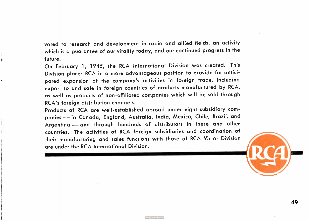voted to research and development in radio and allied fields, an activity which is a guarantee of our vitality today, and our continued progress in the future.

On February 1, 1945, the RCA International Division was created. This Division places RCA in a more advantageous position to provide for anticipated expansion of the company's activities in foreign trade, including export to and sale in foreign countries of products manufactured by RCA, as well as products of non-affiliated companies which will be sold through RCA's foreign distribution channels.

Products of RCA are well-established abroad under eight subsidiary companies — in Canada, England, Australia, India, Mexico, Chile, Brazil, and Argentina — and through hundreds of distributors in these and other countries. The activities of RCA foreign subsidiaries and coordination of their manufacturing and sales functions with those of RCA Victor Division are under the RCA International Division.



49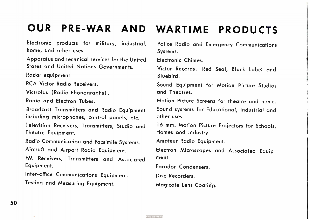### OUR PRE-WAR AND WARTIME PRODUCTS

Electronic products for military, industrial, home, and other uses.

Apparatus and technical services for the United States and United Nations Governments.

Radar equipment.

RCA Victor Radio Receivers.

Victrolas (Radio-Phonographs).

Radio and Electron Tubes.

Broadcast Transmitters and Radio Equipment including microphones, control panels, etc.

Television Receivers, Transmitters, Studio and Theatre Equipment.

Radio Communication and Facsimile Systems.

Aircraft and Airport Radio Equipment.

FM Receivers, Transmitters and Associated Equipment.

Inter-office Communications Equipment. Testing and Measuring Equipment.

Police Radio and Emergency Communications Systems.

Electronic Chimes.

Victor Records: Red Seal, Black Label and Bluebird.

Sound Equipment for Motion Picture Studios and Theatres.

Motion Picture Screens for theatre and home. Sound systems for Educational, Industrial and other uses.

16 mm. Motion Picture Projectors for Schools, Homes and Industry.

Amateur Radio Equipment.

Electron Microscopes and Associated Equipment.

Faradon Condensers.

Disc Recorders.

Magicote Lens Coating.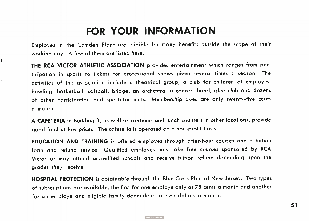### FOR YOUR INFORMATION

Employes in the Camden Plant are eligible for many benefits outside the scope of their working day. A few of them are listed here.

THE RCA VICTOR ATHLETIC ASSOCIATION provides entertainment which ranges from participation in sports to tickets for professional shows given several times a season. The activities of the association include a theatrical group, a club for children of employes, bowling, basketball, softball, bridge, an orchestra, a concert band, glee club and dozens of other participation and spectator units. Membership dues are only twenty-five cents a month.

A CAFETERIA in Building 3, as well as canteens and lunch counters in other locations, provide good food at low prices. The cafeteria is operated on a non-profit basis.

EDUCATION AND TRAINING is offered employes through after- hour courses and a tuition loan and refund service. Qualified employes may take free courses sponsored by RCA Victor or may attend accredited schools and receive tuition refund depending upon the grades they receive.

HOSPITAL PROTECTION is obtainable through the Blue Cross Plan of New Jersey. Two types of subscriptions are available, the first for one employe only at 75 cents a month and another for an employe and eligible family dependents at two dollars a month.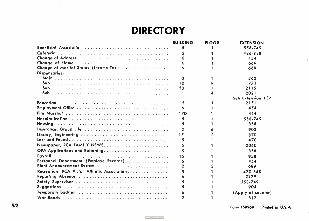### **DIRECTORY**

|                                             | <b>BUILDING</b> | <b>FLOOR</b> | <b>EXTENSION</b>   |  |
|---------------------------------------------|-----------------|--------------|--------------------|--|
| Beneficial Assaciation                      | 5               |              | 558-749            |  |
|                                             |                 |              | 426-888            |  |
|                                             |                 |              | 454                |  |
|                                             |                 |              | 669                |  |
| Change of Marital Status (Incame Tax)       |                 |              | 669                |  |
| Dispensaries:                               |                 |              |                    |  |
|                                             | 3               |              | 362                |  |
|                                             | 10              |              | 773                |  |
|                                             | 53              |              | 2115               |  |
|                                             |                 |              | 2021               |  |
|                                             |                 |              | Sub Extension 137  |  |
|                                             | 5               |              | 2151               |  |
| Employment Office                           |                 |              | 454                |  |
|                                             | 17D             |              | 444                |  |
|                                             | 5               |              | 558-749            |  |
|                                             | 5               |              | 858                |  |
| Insurance, Graup Life                       |                 |              | 902                |  |
| Library, Engineering                        | 1.5             |              | 870                |  |
|                                             | 5               |              | 470                |  |
| Newspaper, RCA FAMILY NEWS.                 | 5               |              | 2060               |  |
| OPA Applications and Rationing              |                 |              | 858                |  |
|                                             | 1.5             |              | 958                |  |
| Persannel Department (Emplaye Recards)      | 6               |              | 454                |  |
|                                             |                 |              | 689                |  |
| Recreation, RCA Victor Athletic Association |                 |              | 470-858            |  |
| Reparting Absence                           | 6               |              | 2279               |  |
|                                             |                 |              | 558-749            |  |
|                                             |                 |              | 904                |  |
|                                             |                 |              | (Apply at counter) |  |
|                                             |                 |              | 817                |  |

 $\overline{\phantom{a}}$ 

 $\lambda$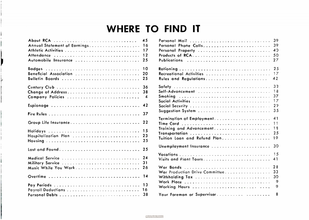### WHERE TO FIND IT

| About RCA<br>45                    |  |
|------------------------------------|--|
| 16<br>Annual Statement of Earnings |  |
| 17                                 |  |
| 12<br>Attendance                   |  |
| 25<br>Automobile Insurance         |  |
| 10<br><b>Badges</b>                |  |
| Beneficial Association<br>20       |  |
| 25<br>Bulletin Boards              |  |
| 36<br>Century Club                 |  |
|                                    |  |
| 38<br>Change of Address            |  |
| Company Policies<br>$\overline{4}$ |  |
| Espionage<br>42                    |  |
| 37                                 |  |
| Group Life Insurance<br>22         |  |
| 15                                 |  |
| 23<br>Hospitalization Plan         |  |
| 25                                 |  |
|                                    |  |
| Last and Found<br>25               |  |
| 24<br>Medical Service              |  |
| 31<br>Military Service             |  |
| 26                                 |  |
| 14<br>Overtime                     |  |
| 13                                 |  |
| 16                                 |  |
| 38                                 |  |
|                                    |  |

|                                | 39              |
|--------------------------------|-----------------|
| Persanal Phane Calls.          | 39              |
| Persanal Praperty              | $\Delta$ $\cap$ |
|                                | 50              |
|                                | 27              |
|                                | 25              |
| Recreational Activities        | 17              |
| Rules and Regulations          | 42              |
|                                | 33              |
|                                | 18              |
| Smoking                        | 37              |
|                                | 17              |
|                                | 29              |
| Suggestian System              | 35              |
|                                | 41              |
| Time Card                      | 11              |
| Training and Advancement       | 18              |
| Transportatian                 | 25              |
| Tuition Loan and Refund Plan   | 19              |
|                                | 30              |
|                                | 15              |
| Visits and Piant Tours         | 41              |
|                                | 28              |
| War Production Drive Committee | 33              |
| Withholding Tax                | 30              |
| Work Place                     | 9               |
| Working Haurs                  | 9               |
| Yaur Fareman ar Supervisar     | 8               |